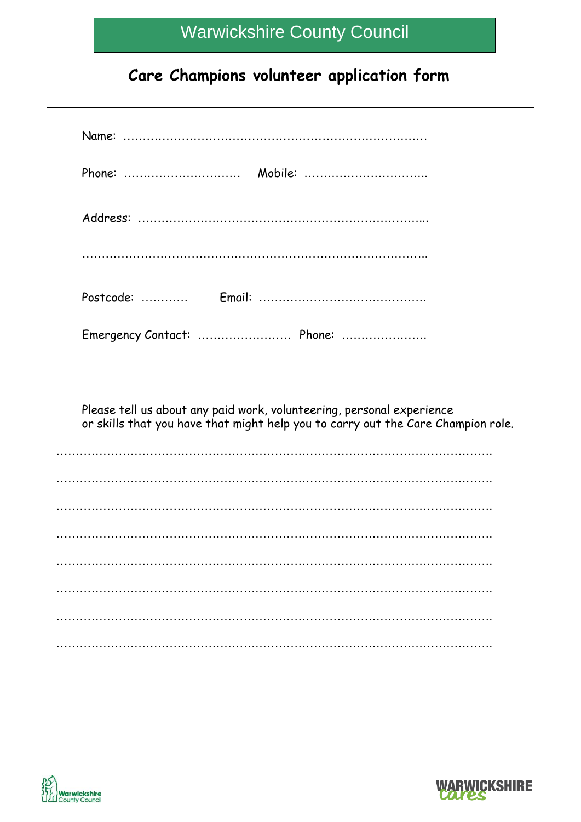### **Care Champions volunteer application form**

| Please tell us about any paid work, volunteering, personal experience<br>or skills that you have that might help you to carry out the Care Champion role. |  |  |
|-----------------------------------------------------------------------------------------------------------------------------------------------------------|--|--|
|                                                                                                                                                           |  |  |
|                                                                                                                                                           |  |  |
|                                                                                                                                                           |  |  |
|                                                                                                                                                           |  |  |
|                                                                                                                                                           |  |  |
|                                                                                                                                                           |  |  |
|                                                                                                                                                           |  |  |
|                                                                                                                                                           |  |  |



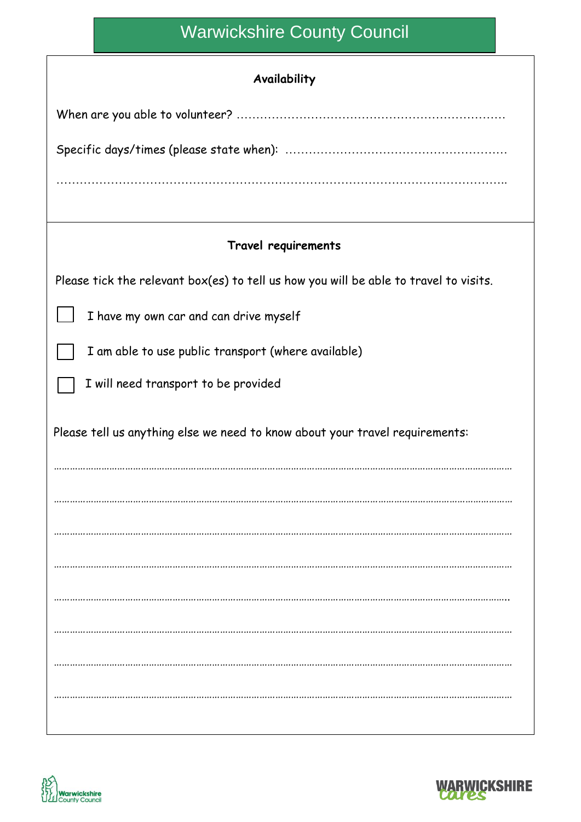#### **Availability**

| Travel requirements                                                                   |  |  |
|---------------------------------------------------------------------------------------|--|--|
| Please tick the relevant box(es) to tell us how you will be able to travel to visits. |  |  |
| I have my own car and can drive myself                                                |  |  |
| I am able to use public transport (where available)                                   |  |  |
| I will need transport to be provided                                                  |  |  |
| Please tell us anything else we need to know about your travel requirements:          |  |  |
|                                                                                       |  |  |
|                                                                                       |  |  |
|                                                                                       |  |  |
|                                                                                       |  |  |
|                                                                                       |  |  |
|                                                                                       |  |  |
|                                                                                       |  |  |
|                                                                                       |  |  |



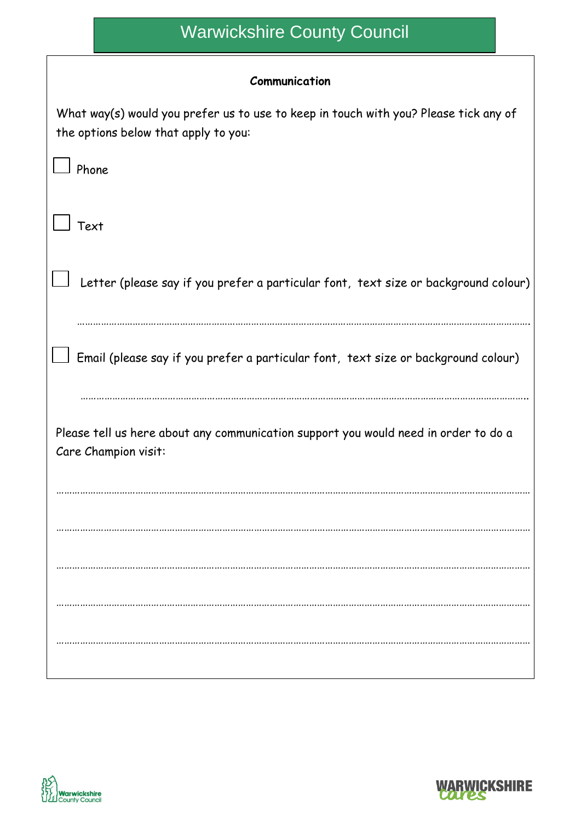#### **Communication**

| What way(s) would you prefer us to use to keep in touch with you? Please tick any of<br>the options below that apply to you: |
|------------------------------------------------------------------------------------------------------------------------------|
| Phone                                                                                                                        |
| Text                                                                                                                         |
| Letter (please say if you prefer a particular font, text size or background colour)                                          |
| Email (please say if you prefer a particular font, text size or background colour)                                           |
| Please tell us here about any communication support you would need in order to do a<br>Care Champion visit:                  |
|                                                                                                                              |
|                                                                                                                              |
|                                                                                                                              |
|                                                                                                                              |
|                                                                                                                              |



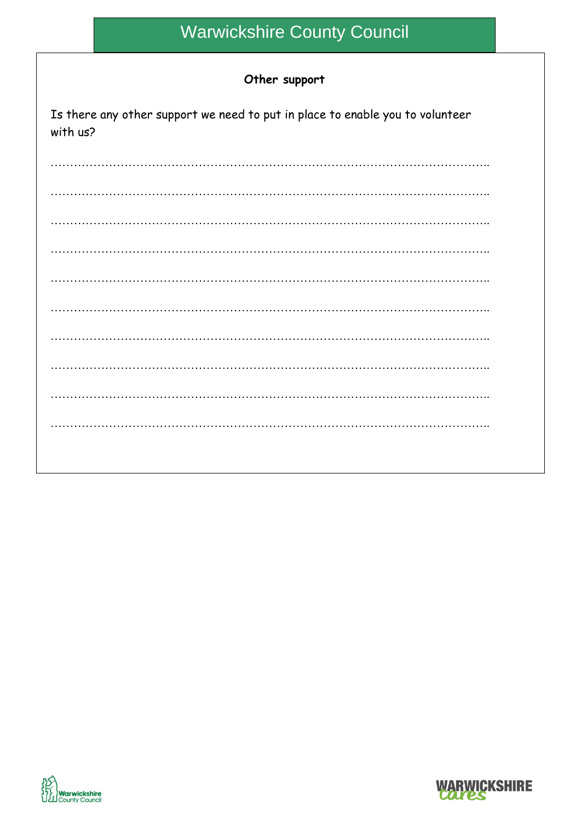#### Other support

| Is there any other support we need to put in place to enable you to volunteer<br>with us? |
|-------------------------------------------------------------------------------------------|
|                                                                                           |
|                                                                                           |
|                                                                                           |
|                                                                                           |
|                                                                                           |
|                                                                                           |
|                                                                                           |



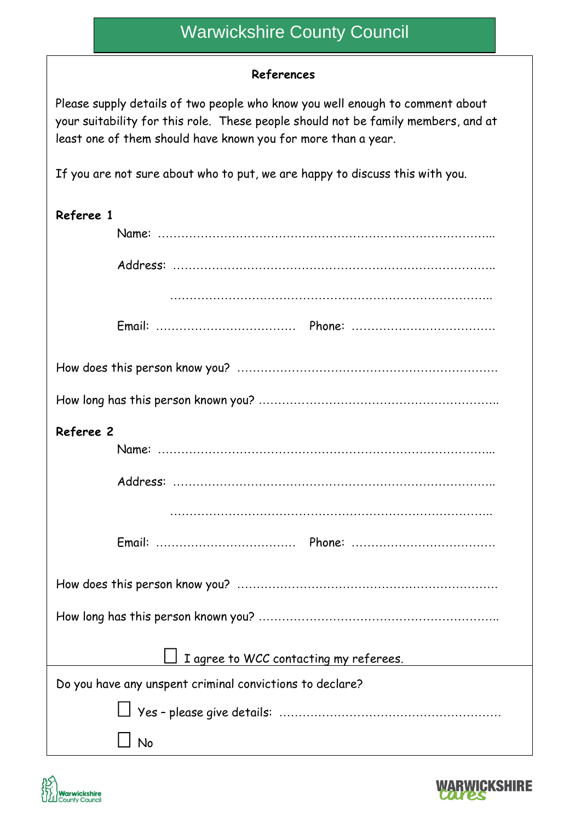#### **References**

Please supply details of two people who know you well enough to comment about your suitability for this role. These people should not be family members, and at least one of them should have known you for more than a year.

If you are not sure about who to put, we are happy to discuss this with you.

| Referee 1                                                |  |
|----------------------------------------------------------|--|
|                                                          |  |
|                                                          |  |
|                                                          |  |
|                                                          |  |
|                                                          |  |
|                                                          |  |
| Referee 2                                                |  |
|                                                          |  |
|                                                          |  |
|                                                          |  |
|                                                          |  |
|                                                          |  |
|                                                          |  |
| I agree to WCC contacting my referees.                   |  |
| Do you have any unspent criminal convictions to declare? |  |
|                                                          |  |
| No                                                       |  |